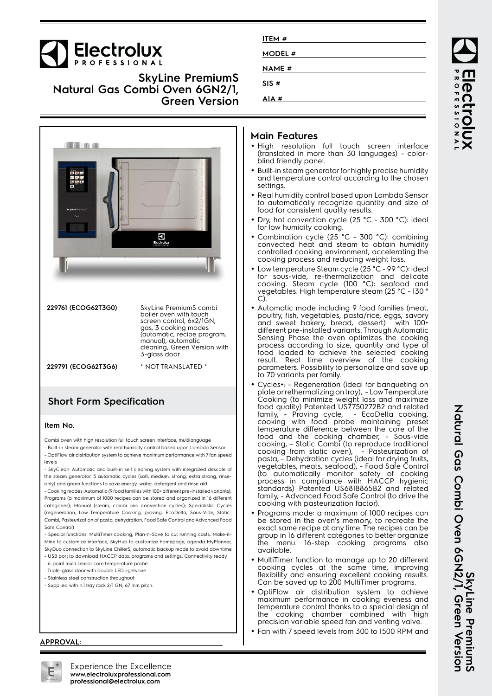# Electrolux

## **SkyLine PremiumS Natural Gas Combi Oven 6GN2/1, Green Version**



| 229761 (ECOG62T3G0) | SkyLine PremiumS combi<br>boiler oven with touch<br>screen control, 6x2/1GN,<br>gas, 3 cooking modes<br>(automatic, recipe program,<br>manual), automatic<br>cleaning, Green Version with<br>3-glass door |
|---------------------|-----------------------------------------------------------------------------------------------------------------------------------------------------------------------------------------------------------|
| 229791 (ECOG62T3G6) | * NOT TRANSLATED *                                                                                                                                                                                        |

## **Short Form Specification**

#### **Item No.**

Combi oven with high resolution full touch screen interface, multilanguage

- Built-in steam generator with real humidity control based upon Lambda Sensor - OptiFlow air distribution system to achieve maximum performance with 7 fan speed levels

- SkyClean: Automatic and built-in self cleaning system with integrated descale of the steam generator. 5 automatic cycles (soft, medium, strong, extra strong, rinseonly) and green functions to save energy, water, detergent and rinse aid

- Cooking modes: Automatic (9 food families with 100+ different pre-installed variants); Programs (a maximum of 1000 recipes can be stored and organized in 16 different categories); Manual (steam, combi and convection cycles); Specialistic Cycles (regeneration, Low Temperature Cooking, proving, EcoDelta, Sous-Vide, Static-Combi, Pasteurization of pasta, dehydration, Food Safe Control and Advanced Food Safe Control)

- Special functions: MultiTimer cooking, Plan-n-Save to cut running costs, Make-it-Mine to customize interface, SkyHub to customize homepage, agenda MyPlanner, SkyDuo connection to SkyLine ChillerS, automatic backup mode to avoid downtime

- USB port to download HACCP data, programs and settings. Connectivity ready - 6-point multi sensor core temperature probe
- Triple-glass door with double LED lights line
- Stainless steel construction throughout
- Supplied with n.1 tray rack 2/1 GN, 67 mm pitch.

| ITEM#        |  |
|--------------|--|
| MODEL #      |  |
| <b>NAME#</b> |  |
| SIS#         |  |
| AIA#         |  |

## **Main Features**

- High resolution full touch screen interface (translated in more than 30 languages) - colorblind friendly panel.
- Built-in steam generator for highly precise humidity and temperature control according to the chosen settings.
- Real humidity control based upon Lambda Sensor to automatically recognize quantity and size of food for consistent quality results.
- • Dry, hot convection cycle (25 °C - 300 °C): ideal for low humidity cooking.
- • Combination cycle (25 °C - 300 °C): combining convected heat and steam to obtain humidity controlled cooking environment, accelerating the cooking process and reducing weight loss.
- • Low temperature Steam cycle (25 °C - 99 °C): ideal for sous-vide, re-thermalization and delicate cooking. Steam cycle (100 °C): seafood and vegetables. High temperature steam (25 °C - 130 ° C).
- Automatic mode including 9 food families (meat, poultry, fish, vegetables, pasta/rice, eggs, savory and sweet bakery, bread, dessert) with 100+ different pre-installed variants. Through Automatic Sensing Phase the oven optimizes the cooking process according to size, quantity and type of food loaded to achieve the selected cooking result. Real time overview of the cooking parameters. Possibility to personalize and save up to 70 variants per family.
- • Cycles+: - Regeneration (ideal for banqueting on plate or rethermalizing on tray), - Low Temperature Cooking (to minimize weight loss and maximize food quality) Patented US7750272B2 and related family, - Proving cycle, - EcoDelta cooking, cooking with food probe maintaining preset temperature difference between the core of the food and the cooking chamber, - Sous-vide cooking, - Static Combi (to reproduce traditional cooking from static oven), - Pasteurization of pasta, - Dehydration cycles (ideal for drying fruits, vegetables, meats, seafood), - Food Safe Control (to automatically monitor safety of cooking process in compliance with HACCP hygienic standards) Patented US6818865B2 and related family, - Advanced Food Safe Control (to drive the cooking with pasteurization factor).
- Programs mode: a maximum of 1000 recipes can be stored in the oven's memory, to recreate the exact same recipe at any time. The recipes can be group in 16 different categories to better organize the menu. 16-step cooking programs also available.
- MultiTimer function to manage up to 20 different cooking cycles at the same time, improving flexibility and ensuring excellent cooking results. Can be saved up to 200 MultiTimer programs.
- • OptiFlow air distribution system to achieve maximum performance in cooking eveness and temperature control thanks to a special design of the cooking chamber combined with high precision variable speed fan and venting valve.
- Fan with 7 speed levels from 300 to 1500 RPM and

ROFESSIONA **PECTROIUX** 

#### **APPROVAL:**



Experience the Excellence **www.electroluxprofessional.com professional@electrolux.com**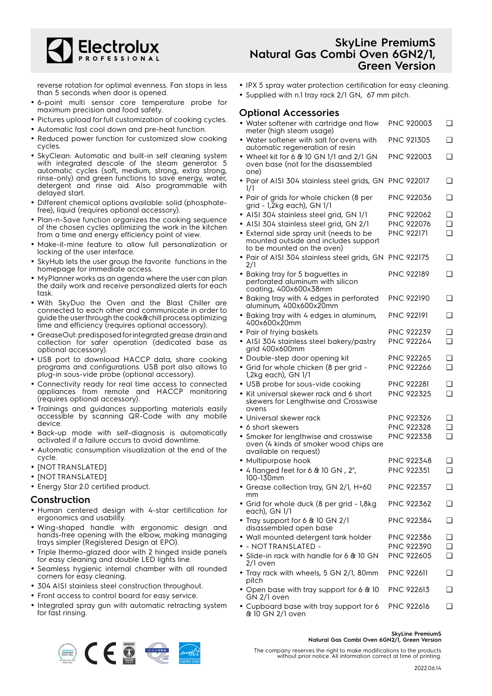

reverse rotation for optimal evenness. Fan stops in less than 5 seconds when door is opened.

- 6-point multi sensor core temperature probe for maximum precision and food safety.
- Pictures upload for full customization of cooking cycles.
- Automatic fast cool down and pre-heat function.
- • Reduced power function for customized slow cooking cycles.
- SkyClean: Automatic and built-in self cleaning system with integrated descale of the steam generator. 5 automatic cycles (soft, medium, strong, extra strong, rinse-only) and green functions to save energy, water, detergent and rinse aid. Also programmable with delayed start.
- Different chemical options available: solid (phosphatefree), liquid (requires optional accessory).
- Plan-n-Save function organizes the cooking sequence of the chosen cycles optimizing the work in the kitchen from a time and energy efficiency point of view.
- Make-it-mine feature to allow full personalization or locking of the user interface.
- SkyHub lets the user group the favorite functions in the homepage for immediate access.
- MyPlanner works as an agenda where the user can plan the daily work and receive personalized alerts for each task.
- With SkyDuo the Oven and the Blast Chiller are connected to each other and communicate in order to guide the user through the cook&chill process optimizing time and efficiency (requires optional accessory).
- GreaseOut: predisposed for integrated grease drain and collection for safer operation (dedicated base as optional accessory).
- USB port to download HACCP data, share cooking programs and configurations. USB port also allows to plug-in sous-vide probe (optional accessory).
- Connectivity ready for real time access to connected appliances from remote and HACCP monitoring (requires optional accessory).
- Trainings and guidances supporting materials easily accessible by scanning QR-Code with any mobile device.
- Back-up mode with self-diagnosis is automatically activated if a failure occurs to avoid downtime.
- Automatic consumption visualization at the end of the cycle.
- [NOT TRANSLATED]
- [NOT TRANSLATED]
- Energy Star 2.0 certified product.

### **Construction**

- Human centered design with 4-star certification for ergonomics and usability.
- Wing-shaped handle with ergonomic design and hands-free opening with the elbow, making managing trays simpler (Registered Design at EPO).
- Triple thermo-glazed door with 2 hinged inside panels for easy cleaning and double LED lights line.
- Seamless hygienic internal chamber with all rounded corners for easy cleaning.
- 304 AISI stainless steel construction throughout.
- Front access to control board for easy service.
- Integrated spray gun with automatic retracting system for fast rinsing.

## **SkyLine PremiumS Natural Gas Combi Oven 6GN2/1, Green Version**

- IPX 5 spray water protection certification for easy cleaning.
- Supplied with n.1 tray rack 2/1 GN, 67 mm pitch.

## **Optional Accessories**

| • Water softener with cartridge and flow<br>meter (high steam usage)                                                 | PNC 920003        | ❏      |
|----------------------------------------------------------------------------------------------------------------------|-------------------|--------|
| • Water softener with salt for ovens with                                                                            | <b>PNC 921305</b> | ❏      |
| automatic regeneration of resin<br>• Wheel kit for 6 $&$ 10 GN 1/1 and 2/1 GN<br>oven base (not for the disassembled | PNC 922003        | ❏      |
| one)<br>• Pair of AISI 304 stainless steel grids, GN PNC 922017                                                      |                   | ❏      |
| 1/1<br>• Pair of grids for whole chicken (8 per<br>grid - 1,2kg each), GN 1/1                                        | PNC 922036        | ❏      |
| · AISI 304 stainless steel grid, GN 1/1                                                                              | <b>PNC 922062</b> | ❏      |
| · AISI 304 stainless steel grid, GN 2/1                                                                              | PNC 922076        | ❏      |
| • External side spray unit (needs to be                                                                              | <b>PNC 922171</b> | $\Box$ |
| mounted outside and includes support<br>to be mounted on the oven)                                                   |                   |        |
| · Pair of AISI 304 stainless steel grids, GN PNC 922175<br>2/1                                                       |                   | ❏      |
| • Baking tray for 5 baguettes in<br>perforated aluminum with silicon<br>coating, 400x600x38mm                        | <b>PNC 922189</b> | ❏      |
| · Baking tray with 4 edges in perforated<br>aluminum, 400x600x20mm                                                   | <b>PNC 922190</b> | ❏      |
| · Baking tray with 4 edges in aluminum,<br>400x600x20mm                                                              | <b>PNC 922191</b> | ❏      |
| • Pair of frying baskets                                                                                             | PNC 922239        | ❏      |
| · AISI 304 stainless steel bakery/pastry<br>grid 400x600mm                                                           | <b>PNC 922264</b> | $\Box$ |
| • Double-step door opening kit                                                                                       | <b>PNC 922265</b> | ❏      |
| • Grid for whole chicken (8 per grid -<br>1,2kg each), GN 1/1                                                        | <b>PNC 922266</b> | $\Box$ |
| · USB probe for sous-vide cooking                                                                                    | PNC 922281        | ❏      |
| • Kit universal skewer rack and 6 short<br>skewers for Lengthwise and Crosswise<br>ovens                             | PNC 922325        | ❏      |
| · Universal skewer rack                                                                                              | PNC 922326        | ❏      |
| • 6 short skewers                                                                                                    | PNC 922328        | ❏      |
| • Smoker for lengthwise and crosswise<br>oven (4 kinds of smoker wood chips are<br>available on request)             | PNC 922338        | $\Box$ |
| • Multipurpose hook                                                                                                  | PNC 922348        | ❏      |
| • 4 flanged feet for 6 $\&$ 10 GN, 2",<br>100-130mm                                                                  | <b>PNC 922351</b> | ❏      |
| · Grease collection tray, GN 2/1, H=60<br>mm                                                                         | PNC 922357        | ❏      |
| • Grid for whole duck (8 per grid - 1,8kg<br>each), GN 1/1                                                           | PNC 922362        | ❏      |
| • Tray support for 6 & 10 GN 2/1<br>disassembled open base                                                           | PNC 922384        | ❏      |
| • Wall mounted detergent tank holder                                                                                 | PNC 922386        | ❏      |
| • - NOTTRANSLATED -                                                                                                  | PNC 922390        | ❏      |
| $\bullet\,$ Slide-in rack with handle for 6 & 10 GN<br>2/1 oven                                                      | <b>PNC 922605</b> | ❏      |
| • Tray rack with wheels, 5 GN 2/1, 80mm<br>pitch                                                                     | <b>PNC 922611</b> | ❏      |
| • Open base with tray support for 6 & 10<br>GN 2/1 oven                                                              | <b>PNC 922613</b> | ❏      |
|                                                                                                                      |                   |        |

• Cupboard base with tray support for 6 PNC 922616 ❑& 10 GN 2/1 oven

#### **SkyLine PremiumS**

**Natural Gas Combi Oven 6GN2/1, Green Version**

 $\circledR$ 

The company reserves the right to make modifications to the products without prior notice. All information correct at time of printing.

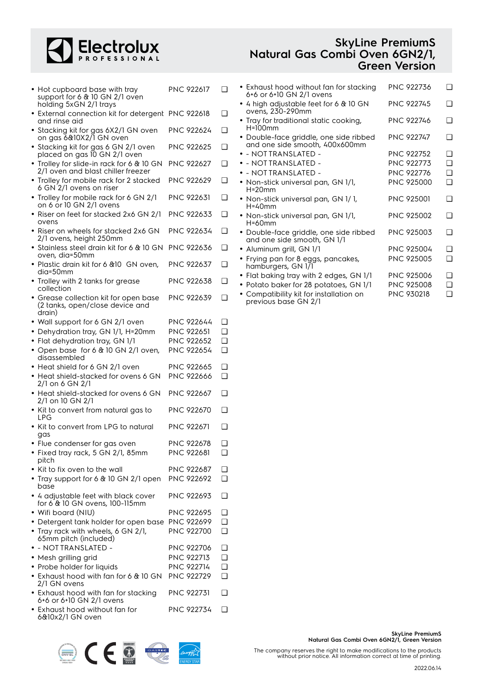

| <b>SkyLine PremiumS</b>        |
|--------------------------------|
| Natural Gas Combi Oven 6GN2/1, |
| <b>Green Version</b>           |

| • Hot cupboard base with tray<br>support for 6 & 10 GN 2/1 oven<br>holding 5xGN 2/1 trays  | PNC 922617                             | ❏        |  |
|--------------------------------------------------------------------------------------------|----------------------------------------|----------|--|
| • External connection kit for detergent PNC 922618<br>and rinse aid                        |                                        | ❏        |  |
| • Stacking kit for gas 6X2/1 GN oven<br>on gas 6&10X2/1 GN oven                            | PNC 922624                             | ❏        |  |
| • Stacking kit for gas 6 GN 2/1 oven<br>placed on gas 10 GN 2/1 oven                       | PNC 922625                             | ❏        |  |
| • Trolley for slide-in rack for 6 & 10 GN<br>2/1 oven and blast chiller freezer            | <b>PNC 922627</b>                      | ❏        |  |
| • Trolley for mobile rack for 2 stacked<br>6 GN 2/1 ovens on riser                         | <b>PNC 922629</b>                      | ❏        |  |
| • Trolley for mobile rack for 6 GN 2/1<br>on 6 or 10 GN 2/1 ovens                          | <b>PNC 922631</b>                      | ❏        |  |
| · Riser on feet for stacked 2x6 GN 2/1<br>ovens                                            | PNC 922633                             | ❏        |  |
| · Riser on wheels for stacked 2x6 GN<br>2/1 ovens, height 250mm                            | PNC 922634                             | ❏        |  |
| • Stainless steel drain kit for 6 & 10 GN<br>oven, dia=50mm                                | <b>PNC 922636</b>                      | ❏        |  |
| • Plastic drain kit for 6 & 10 GN oven.<br>dia=50mm                                        | <b>PNC 922637</b>                      | ∩        |  |
| • Trolley with 2 tanks for grease<br>collection                                            | PNC 922638                             | ❏        |  |
| • Grease collection kit for open base<br>(2 tanks, open/close device and<br>drain)         | PNC 922639                             | ❏        |  |
| • Wall support for 6 GN 2/1 oven                                                           | PNC 922644                             | ❏        |  |
| • Dehydration tray, GN 1/1, H=20mm                                                         | PNC 922651                             | ◻        |  |
| • Flat dehydration tray, GN 1/1                                                            | PNC 922652                             | ◻        |  |
|                                                                                            | PNC 922654                             | <b>□</b> |  |
| • Open base for 6 & 10 GN 2/1 oven,<br>disassembled                                        |                                        | ❏        |  |
| • Heat shield for 6 GN 2/1 oven<br>• Heat shield-stacked for ovens 6 GN<br>2/1 on 6 GN 2/1 | <b>PNC 922665</b><br><b>PNC 922666</b> | ❏        |  |
| • Heat shield-stacked for ovens 6 GN<br>2/1 on 10 GN 2/1                                   | <b>PNC 922667</b>                      | ❏        |  |
| • Kit to convert from natural gas to<br><b>LPG</b>                                         | PNC 922670                             | ❏        |  |
| • Kit to convert from LPG to natural<br>gas                                                | <b>PNC 922671</b>                      | ❏        |  |
| • Flue condenser for gas oven                                                              | <b>PNC 922678</b>                      | ❏        |  |
| • Fixed tray rack, 5 GN 2/1, 85mm<br>pitch                                                 | PNC 922681                             | ⊔        |  |
| • Kit to fix oven to the wall                                                              | PNC 922687                             | ❏        |  |
| • Tray support for 6 & 10 GN 2/1 open<br>base                                              | PNC 922692                             | ◻        |  |
| • 4 adjustable feet with black cover<br>for 6 & 10 GN ovens, 100-115mm                     | <b>PNC 922693</b>                      | ❏        |  |
| • Wifi board (NIU)                                                                         | <b>PNC 922695</b>                      | ❏        |  |
| • Detergent tank holder for open base                                                      | <b>PNC 922699</b>                      | <b>□</b> |  |
| • Tray rack with wheels, 6 GN 2/1,<br>65mm pitch (included)                                | PNC 922700                             | <b>□</b> |  |
| • - NOTTRANSLATED -                                                                        | PNC 922706                             | ❏        |  |
| • Mesh grilling grid                                                                       | PNC 922713                             | ❏        |  |
| • Probe holder for liquids                                                                 | PNC 922714                             | ❏        |  |
| • Exhaust hood with fan for 6 & 10 GN                                                      | <b>PNC 922729</b>                      | ∩        |  |
| 2/1 GN ovens                                                                               |                                        |          |  |
| • Exhaust hood with fan for stacking<br>6+6 or 6+10 GN 2/1 ovens                           | <b>PNC 922731</b>                      | ◻        |  |
| • Exhaust hood without fan for<br>6&10x2/1 GN oven                                         | PNC 922734                             | ❏        |  |

| • Exhaust hood without fan for stacking<br>6+6 or 6+10 GN 2/1 ovens      | PNC 922736        | ר        |
|--------------------------------------------------------------------------|-------------------|----------|
| • 4 high adjustable feet for 6 $\&$ 10 GN<br>ovens, 230-290mm            | <b>PNC 922745</b> | ∩        |
| • Tray for traditional static cooking,<br>$H=100$ mm                     | PNC 922746        | ∩        |
| · Double-face griddle, one side ribbed<br>and one side smooth, 400x600mm | <b>PNC 922747</b> | n        |
| $\bullet$ - NOTTRANSLATED -                                              | PNC 922752        | ∩        |
| · - NOTTRANSLATED -                                                      | <b>PNC 922773</b> | ∩        |
| $\bullet$ - NOTTRANSLATED -                                              | <b>PNC 922776</b> | ∩        |
| • Non-stick universal pan, GN 1/1,<br>$H = 20$ mm                        | <b>PNC 925000</b> | ∩        |
| • Non-stick universal pan, GN 1/1,<br>$H = 40$ mm                        | <b>PNC 925001</b> | ∩        |
| • Non-stick universal pan, GN 1/1,<br>$H = 60$ mm                        | <b>PNC 925002</b> | ∩        |
| • Double-face griddle, one side ribbed<br>and one side smooth, GN 1/1    | <b>PNC 925003</b> | ∩        |
| • Aluminum grill, GN 1/1                                                 | <b>PNC 925004</b> | ∩        |
| • Frying pan for 8 eggs, pancakes,<br>hamburgers, GN 1/1                 | <b>PNC 925005</b> | <b>□</b> |
| • Flat baking tray with 2 edges, GN 1/1                                  | <b>PNC 925006</b> | n        |
| • Potato baker for 28 potatoes, GN 1/1                                   | PNC 925008        | ∩        |
| • Compatibility kit for installation on                                  | <b>PNC 930218</b> | ❏        |

previous base GN 2/1

STRING COMPANY

The company reserves the right to make modifications to the products without prior notice. All information correct at time of printing.